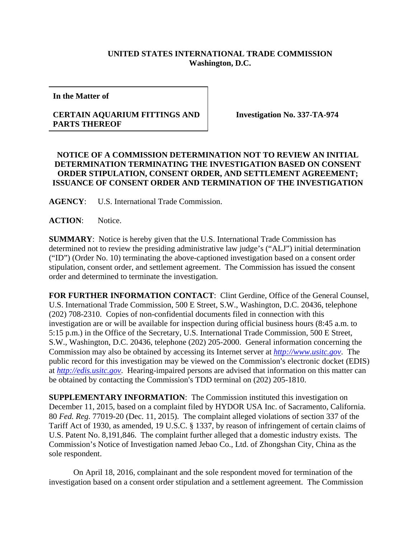## **UNITED STATES INTERNATIONAL TRADE COMMISSION Washington, D.C.**

**In the Matter of** 

## **CERTAIN AQUARIUM FITTINGS AND PARTS THEREOF**

**Investigation No. 337-TA-974** 

## **NOTICE OF A COMMISSION DETERMINATION NOT TO REVIEW AN INITIAL DETERMINATION TERMINATING THE INVESTIGATION BASED ON CONSENT ORDER STIPULATION, CONSENT ORDER, AND SETTLEMENT AGREEMENT; ISSUANCE OF CONSENT ORDER AND TERMINATION OF THE INVESTIGATION**

**AGENCY**: U.S. International Trade Commission.

ACTION: Notice.

**SUMMARY**: Notice is hereby given that the U.S. International Trade Commission has determined not to review the presiding administrative law judge's ("ALJ") initial determination ("ID") (Order No. 10) terminating the above-captioned investigation based on a consent order stipulation, consent order, and settlement agreement. The Commission has issued the consent order and determined to terminate the investigation.

**FOR FURTHER INFORMATION CONTACT**: Clint Gerdine, Office of the General Counsel, U.S. International Trade Commission, 500 E Street, S.W., Washington, D.C. 20436, telephone (202) 708-2310. Copies of non-confidential documents filed in connection with this investigation are or will be available for inspection during official business hours (8:45 a.m. to 5:15 p.m.) in the Office of the Secretary, U.S. International Trade Commission, 500 E Street, S.W., Washington, D.C. 20436, telephone (202) 205-2000. General information concerning the Commission may also be obtained by accessing its Internet server at *http://www.usitc.gov*. The public record for this investigation may be viewed on the Commission's electronic docket (EDIS) at *http://edis.usitc.gov*. Hearing-impaired persons are advised that information on this matter can be obtained by contacting the Commission's TDD terminal on (202) 205-1810.

**SUPPLEMENTARY INFORMATION**: The Commission instituted this investigation on December 11, 2015, based on a complaint filed by HYDOR USA Inc. of Sacramento, California. 80 *Fed. Reg.* 77019-20 (Dec. 11, 2015). The complaint alleged violations of section 337 of the Tariff Act of 1930, as amended, 19 U.S.C. § 1337, by reason of infringement of certain claims of U.S. Patent No. 8,191,846. The complaint further alleged that a domestic industry exists. The Commission's Notice of Investigation named Jebao Co., Ltd. of Zhongshan City, China as the sole respondent.

On April 18, 2016, complainant and the sole respondent moved for termination of the investigation based on a consent order stipulation and a settlement agreement. The Commission